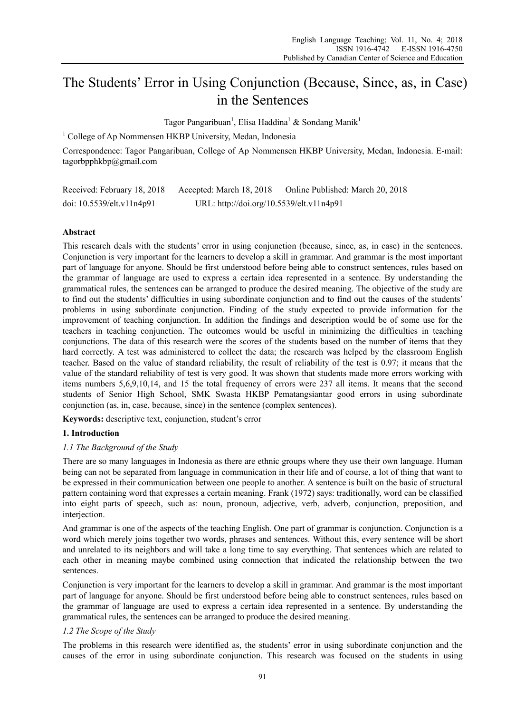# The Students' Error in Using Conjunction (Because, Since, as, in Case) in the Sentences

Tagor Pangaribuan<sup>1</sup>, Elisa Haddina<sup>1</sup> & Sondang Manik<sup>1</sup>

<sup>1</sup> College of Ap Nommensen HKBP University, Medan, Indonesia

Correspondence: Tagor Pangaribuan, College of Ap Nommensen HKBP University, Medan, Indonesia. E-mail: tagorbpphkbp@gmail.com

| Received: February 18, 2018     | Accepted: March 18, 2018                 | Online Published: March 20, 2018 |
|---------------------------------|------------------------------------------|----------------------------------|
| doi: $10.5539$ /elt.v $11n4p91$ | URL: http://doi.org/10.5539/elt.v11n4p91 |                                  |

## **Abstract**

This research deals with the students' error in using conjunction (because, since, as, in case) in the sentences. Conjunction is very important for the learners to develop a skill in grammar. And grammar is the most important part of language for anyone. Should be first understood before being able to construct sentences, rules based on the grammar of language are used to express a certain idea represented in a sentence. By understanding the grammatical rules, the sentences can be arranged to produce the desired meaning. The objective of the study are to find out the students' difficulties in using subordinate conjunction and to find out the causes of the students' problems in using subordinate conjunction. Finding of the study expected to provide information for the improvement of teaching conjunction. In addition the findings and description would be of some use for the teachers in teaching conjunction. The outcomes would be useful in minimizing the difficulties in teaching conjunctions. The data of this research were the scores of the students based on the number of items that they hard correctly. A test was administered to collect the data; the research was helped by the classroom English teacher. Based on the value of standard reliability, the result of reliability of the test is 0.97; it means that the value of the standard reliability of test is very good. It was shown that students made more errors working with items numbers 5,6,9,10,14, and 15 the total frequency of errors were 237 all items. It means that the second students of Senior High School, SMK Swasta HKBP Pematangsiantar good errors in using subordinate conjunction (as, in, case, because, since) in the sentence (complex sentences).

**Keywords:** descriptive text, conjunction, student's error

#### **1. Introduction**

#### *1.1 The Background of the Study*

There are so many languages in Indonesia as there are ethnic groups where they use their own language. Human being can not be separated from language in communication in their life and of course, a lot of thing that want to be expressed in their communication between one people to another. A sentence is built on the basic of structural pattern containing word that expresses a certain meaning. Frank (1972) says: traditionally, word can be classified into eight parts of speech, such as: noun, pronoun, adjective, verb, adverb, conjunction, preposition, and interjection.

And grammar is one of the aspects of the teaching English. One part of grammar is conjunction. Conjunction is a word which merely joins together two words, phrases and sentences. Without this, every sentence will be short and unrelated to its neighbors and will take a long time to say everything. That sentences which are related to each other in meaning maybe combined using connection that indicated the relationship between the two sentences.

Conjunction is very important for the learners to develop a skill in grammar. And grammar is the most important part of language for anyone. Should be first understood before being able to construct sentences, rules based on the grammar of language are used to express a certain idea represented in a sentence. By understanding the grammatical rules, the sentences can be arranged to produce the desired meaning.

## *1.2 The Scope of the Study*

The problems in this research were identified as, the students' error in using subordinate conjunction and the causes of the error in using subordinate conjunction. This research was focused on the students in using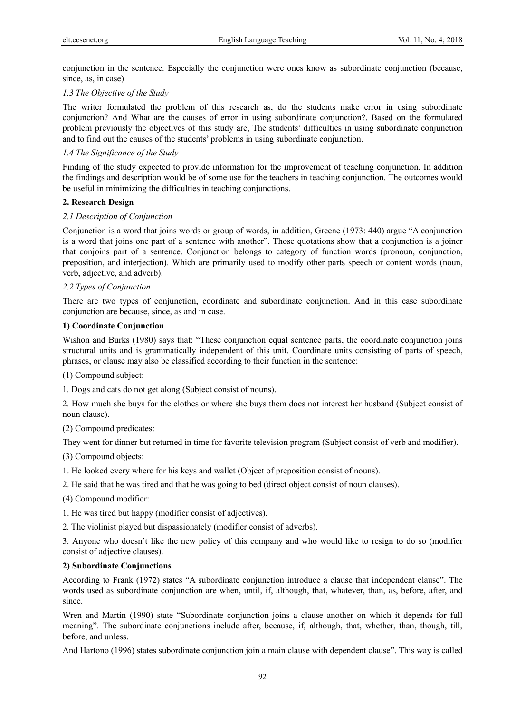conjunction in the sentence. Especially the conjunction were ones know as subordinate conjunction (because, since, as, in case)

## *1.3 The Objective of the Study*

The writer formulated the problem of this research as, do the students make error in using subordinate conjunction? And What are the causes of error in using subordinate conjunction?. Based on the formulated problem previously the objectives of this study are, The students' difficulties in using subordinate conjunction and to find out the causes of the students' problems in using subordinate conjunction.

## *1.4 The Significance of the Study*

Finding of the study expected to provide information for the improvement of teaching conjunction. In addition the findings and description would be of some use for the teachers in teaching conjunction. The outcomes would be useful in minimizing the difficulties in teaching conjunctions.

## **2. Research Design**

## *2.1 Description of Conjunction*

Conjunction is a word that joins words or group of words, in addition, Greene (1973: 440) argue "A conjunction is a word that joins one part of a sentence with another". Those quotations show that a conjunction is a joiner that conjoins part of a sentence. Conjunction belongs to category of function words (pronoun, conjunction, preposition, and interjection). Which are primarily used to modify other parts speech or content words (noun, verb, adjective, and adverb).

## *2.2 Types of Conjunction*

There are two types of conjunction, coordinate and subordinate conjunction. And in this case subordinate conjunction are because, since, as and in case.

## **1) Coordinate Conjunction**

Wishon and Burks (1980) says that: "These conjunction equal sentence parts, the coordinate conjunction joins structural units and is grammatically independent of this unit. Coordinate units consisting of parts of speech, phrases, or clause may also be classified according to their function in the sentence:

(1) Compound subject:

1. Dogs and cats do not get along (Subject consist of nouns).

2. How much she buys for the clothes or where she buys them does not interest her husband (Subject consist of noun clause).

(2) Compound predicates:

They went for dinner but returned in time for favorite television program (Subject consist of verb and modifier).

(3) Compound objects:

1. He looked every where for his keys and wallet (Object of preposition consist of nouns).

2. He said that he was tired and that he was going to bed (direct object consist of noun clauses).

(4) Compound modifier:

1. He was tired but happy (modifier consist of adjectives).

2. The violinist played but dispassionately (modifier consist of adverbs).

3. Anyone who doesn't like the new policy of this company and who would like to resign to do so (modifier consist of adjective clauses).

## **2) Subordinate Conjunctions**

According to Frank (1972) states "A subordinate conjunction introduce a clause that independent clause". The words used as subordinate conjunction are when, until, if, although, that, whatever, than, as, before, after, and since.

Wren and Martin (1990) state "Subordinate conjunction joins a clause another on which it depends for full meaning". The subordinate conjunctions include after, because, if, although, that, whether, than, though, till, before, and unless.

And Hartono (1996) states subordinate conjunction join a main clause with dependent clause". This way is called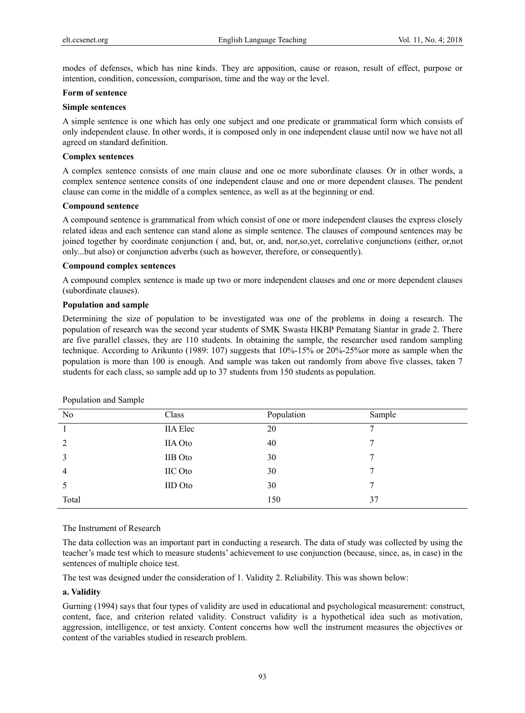modes of defenses, which has nine kinds. They are apposition, cause or reason, result of effect, purpose or intention, condition, concession, comparison, time and the way or the level.

#### **Form of sentence**

#### **Simple sentences**

A simple sentence is one which has only one subject and one predicate or grammatical form which consists of only independent clause. In other words, it is composed only in one independent clause until now we have not all agreed on standard definition.

#### **Complex sentences**

A complex sentence consists of one main clause and one oe more subordinate clauses. Or in other words, a complex sentence sentence consits of one independent clause and one or more dependent clauses. The pendent clause can come in the middle of a complex sentence, as well as at the beginning or end.

#### **Compound sentence**

A compound sentence is grammatical from which consist of one or more independent clauses the express closely related ideas and each sentence can stand alone as simple sentence. The clauses of compound sentences may be joined together by coordinate conjunction ( and, but, or, and, nor,so,yet, correlative conjunctions (either, or,not only...but also) or conjunction adverbs (such as however, therefore, or consequently).

#### **Compound complex sentences**

A compound complex sentence is made up two or more independent clauses and one or more dependent clauses (subordinate clauses).

#### **Population and sample**

Determining the size of population to be investigated was one of the problems in doing a research. The population of research was the second year students of SMK Swasta HKBP Pematang Siantar in grade 2. There are five parallel classes, they are 110 students. In obtaining the sample, the researcher used random sampling technique. According to Arikunto (1989: 107) suggests that 10%-15% or 20%-25%or more as sample when the population is more than 100 is enough. And sample was taken out randomly from above five classes, taken 7 students for each class, so sample add up to 37 students from 150 students as population.

| N <sub>0</sub> | Class           | Population | Sample |
|----------------|-----------------|------------|--------|
|                | <b>IIA</b> Elec | 20         | ⇁      |
| 2              | <b>IIA</b> Oto  | 40         |        |
| 3              | <b>IIB</b> Oto  | 30         | 7      |
| 4              | IIC Oto         | 30         |        |
|                | <b>IID</b> Oto  | 30         |        |
| Total          |                 | 150        | 37     |

Population and Sample

The Instrument of Research

The data collection was an important part in conducting a research. The data of study was collected by using the teacher's made test which to measure students' achievement to use conjunction (because, since, as, in case) in the sentences of multiple choice test.

The test was designed under the consideration of 1. Validity 2. Reliability. This was shown below:

#### **a. Validity**

Gurning (1994) says that four types of validity are used in educational and psychological measurement: construct, content, face, and criterion related validity. Construct validity is a hypothetical idea such as motivation, aggression, intelligence, or test anxiety. Content concerns how well the instrument measures the objectives or content of the variables studied in research problem.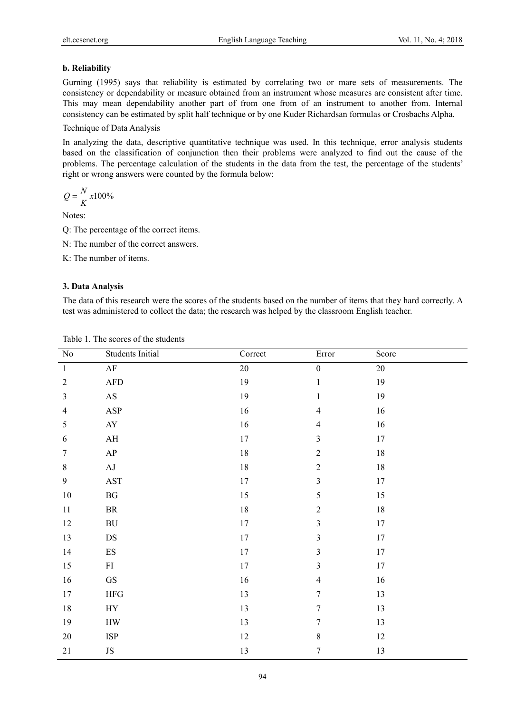## **b. Reliability**

Gurning (1995) says that reliability is estimated by correlating two or mare sets of measurements. The consistency or dependability or measure obtained from an instrument whose measures are consistent after time. This may mean dependability another part of from one from of an instrument to another from. Internal consistency can be estimated by split half technique or by one Kuder Richardsan formulas or Crosbachs Alpha.

Technique of Data Analysis

In analyzing the data, descriptive quantitative technique was used. In this technique, error analysis students based on the classification of conjunction then their problems were analyzed to find out the cause of the problems. The percentage calculation of the students in the data from the test, the percentage of the students' right or wrong answers were counted by the formula below:

$$
Q = \frac{N}{K}x100\%
$$

Notes:

Q: The percentage of the correct items.

- N: The number of the correct answers.
- K: The number of items.

## **3. Data Analysis**

The data of this research were the scores of the students based on the number of items that they hard correctly. A test was administered to collect the data; the research was helped by the classroom English teacher.

| $\rm No$         | Students Initial            | Correct | Error                   | Score  |
|------------------|-----------------------------|---------|-------------------------|--------|
| $\mathbf{1}$     | $\rm AF$                    | 20      | $\boldsymbol{0}$        | 20     |
| $\sqrt{2}$       | ${\rm AFD}$                 | 19      | $\mathbf 1$             | 19     |
| $\mathfrak{Z}$   | $\mathbf{A}\mathbf{S}$      | 19      | $\mathbf{1}$            | 19     |
| $\overline{4}$   | $\mathbf{ASP}$              | $16\,$  | $\overline{4}$          | $16\,$ |
| 5                | ${\rm A}{\rm Y}$            | 16      | $\overline{4}$          | 16     |
| $\sqrt{6}$       | $\mathbf{A}\mathbf{H}$      | $17\,$  | $\mathfrak{Z}$          | $17\,$ |
| $\boldsymbol{7}$ | ${\sf AP}$                  | $18\,$  | $\overline{c}$          | $18\,$ |
| $8\,$            | $\mathbf{A}\mathbf{J}$      | $18\,$  | $\sqrt{2}$              | $18\,$ |
| 9                | $\operatorname{AST}$        | $17\,$  | $\mathfrak{Z}$          | $17\,$ |
| $10\,$           | $\mathbf{B}\mathbf{G}$      | 15      | 5                       | 15     |
| $11\,$           | $\rm{BR}$                   | $18\,$  | $\sqrt{2}$              | $18\,$ |
| $12\,$           | $\rm BU$                    | $17\,$  | $\overline{3}$          | $17\,$ |
| 13               | DS                          | $17\,$  | $\overline{\mathbf{3}}$ | $17\,$ |
| 14               | ${\rm ES}$                  | $17\,$  | $\overline{\mathbf{3}}$ | $17\,$ |
| 15               | ${\rm FI}$                  | $17\,$  | $\overline{\mathbf{3}}$ | $17\,$ |
| 16               | ${\rm GS}$                  | 16      | $\overline{4}$          | 16     |
| $17\,$           | ${\rm HFG}$                 | 13      | $\boldsymbol{7}$        | 13     |
| $18\,$           | HY                          | 13      | $\boldsymbol{7}$        | 13     |
| 19               | ${\rm HW}$                  | 13      | $\tau$                  | 13     |
| $20\,$           | $\ensuremath{\mathsf{ISP}}$ | $12\,$  | $\,$ $\,$               | $12\,$ |
| $21\,$           | $\rm JS$                    | 13      | $\tau$                  | 13     |

Table 1. The scores of the students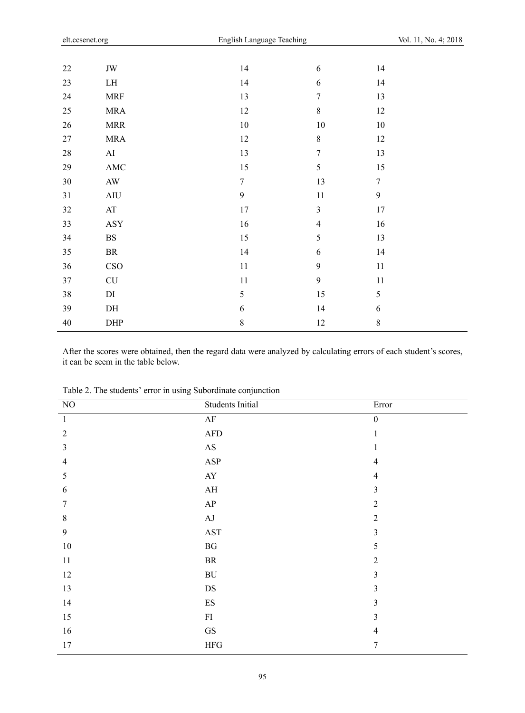| $22\,$ | $\rm JW$               | 14               | 6                | 14               |
|--------|------------------------|------------------|------------------|------------------|
| 23     | ${\rm LH}$             | 14               | $\sqrt{6}$       | 14               |
| 24     | $\operatorname{MRF}$   | 13               | $\tau$           | 13               |
| 25     | <b>MRA</b>             | 12               | $8\,$            | 12               |
| $26\,$ | $\operatorname{MRR}$   | $10\,$           | $10\,$           | $10\,$           |
| 27     | $\sf{MRA}$             | 12               | $8\,$            | 12               |
| $28\,$ | AI                     | 13               | $\boldsymbol{7}$ | 13               |
| $29\,$ | $\operatorname{AMC}$   | 15               | 5                | 15               |
| $30\,$ | $\mathbf{A}\mathbf{W}$ | $\boldsymbol{7}$ | 13               | $\boldsymbol{7}$ |
| 31     | AIU                    | 9                | $11\,$           | $\mathbf{9}$     |
| 32     | $\mathbf{A}\mathbf{T}$ | 17               | $\mathfrak{Z}$   | 17               |
| 33     | $\operatorname{ASY}$   | 16               | $\overline{4}$   | 16               |
| 34     | $_{\rm BS}$            | 15               | 5                | 13               |
| 35     | $\rm{BR}$              | 14               | 6                | 14               |
| 36     | CSO                    | $11\,$           | 9                | $11\,$           |
| 37     | ${\rm CU}$             | 11               | $\mathfrak{g}$   | 11               |
| 38     | DI                     | 5                | 15               | 5                |
| 39     | DH                     | $\sqrt{6}$       | 14               | $\sqrt{6}$       |
| $40\,$ | DHP                    | $\,8\,$          | 12               | $\,8\,$          |
|        |                        |                  |                  |                  |

After the scores were obtained, then the regard data were analyzed by calculating errors of each student's scores, it can be seem in the table below.

| $\rm NO$       | Students Initial         | Error            |
|----------------|--------------------------|------------------|
| $\mathbf{1}$   | $\rm AF$                 | $\boldsymbol{0}$ |
| $\overline{2}$ | ${\rm AFD}$              | $\mathbf{1}$     |
| $\mathfrak{Z}$ | $\mathbf{A}\mathbf{S}$   |                  |
| $\overline{4}$ | $\mathbf{ASP}$           | $\overline{4}$   |
| 5              | ${\rm A}{\rm Y}$         | $\overline{4}$   |
| 6              | $\mathbf{A}\mathbf{H}$   | $\overline{3}$   |
| 7              | ${\sf AP}$               | $\overline{2}$   |
| $8\,$          | $\rm AJ$                 | $\overline{2}$   |
| $\overline{9}$ | $\operatorname{AST}$     | $\overline{3}$   |
| $10\,$         | $\mathbf{B}\mathbf{G}$   | 5                |
| 11             | ${\rm BR}$               | $\overline{2}$   |
| 12             | ${\rm BU}$               | 3                |
| 13             | $\mathbf{D}\mathbf{S}$   | $\overline{3}$   |
| 14             | $\mathop{\hbox{\rm ES}}$ | $\overline{3}$   |
| 15             | ${\rm FI}$               | $\overline{3}$   |
| 16             | $\mathbf{G}\mathbf{S}$   | $\overline{4}$   |
| $17$           | ${\rm HFG}$              | 7                |

Table 2. The students' error in using Subordinate conjunction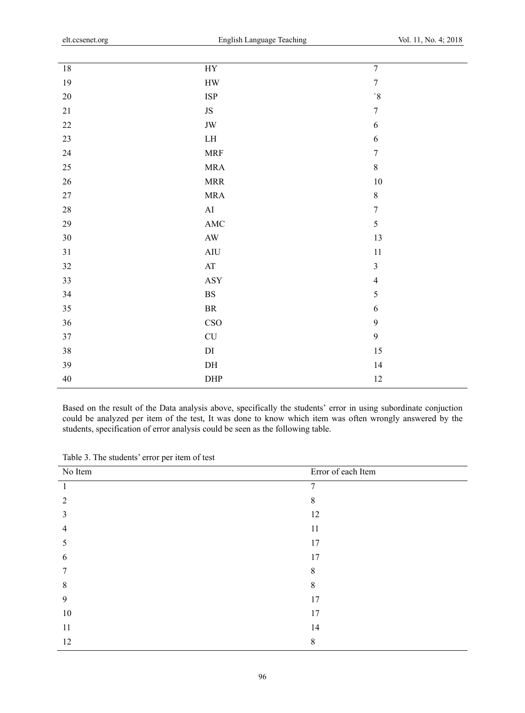| $18\,$ | ${\rm HY}$                  | $\overline{7}$          |
|--------|-----------------------------|-------------------------|
| 19     | ${\rm HW}$                  | $\boldsymbol{7}$        |
| $20\,$ | $\ensuremath{\mathsf{ISP}}$ | $\mathbf{S}'$           |
| $21\,$ | $\rm JS$                    | $\boldsymbol{7}$        |
| $22\,$ | $\rm JW$                    | $\sqrt{6}$              |
| $23\,$ | ${\rm LH}$                  | $\boldsymbol{6}$        |
| 24     | $\operatorname{MRF}$        | $\boldsymbol{7}$        |
| $25\,$ | $\sf{MRA}$                  | $8\,$                   |
| 26     | $\operatorname{MRR}$        | $10\,$                  |
| $27\,$ | $\sf{MRA}$                  | $\,8\,$                 |
| $28\,$ | ${\rm AI}$                  | $\boldsymbol{7}$        |
| 29     | AMC                         | 5                       |
| $30\,$ | $\mathbf{A}\mathbf{W}$      | 13                      |
| 31     | $\rm{AIU}$                  | $11\,$                  |
| $32\,$ | $\mathbf{A}\mathbf{T}$      | $\overline{\mathbf{3}}$ |
| 33     | ASY                         | $\overline{4}$          |
| 34     | $\mathbf{B}\mathbf{S}$      | 5                       |
| 35     | $\rm{BR}$                   | $\sqrt{6}$              |
| 36     | CSO                         | $\mathbf{9}$            |
| 37     | $\ensuremath{\mathrm{CU}}$  | $\mathbf{9}$            |
| $38\,$ | $\mathop{\rm DI}$           | 15                      |
| 39     | $\mathbf{D}\mathbf{H}$      | 14                      |
| $40\,$ | DHP                         | $12\,$                  |
|        |                             |                         |

Based on the result of the Data analysis above, specifically the students' error in using subordinate conjuction could be analyzed per item of the test, It was done to know which item was often wrongly answered by the students, specification of error analysis could be seen as the following table.

| No Item | Error of each Item |
|---------|--------------------|
|         | $\overline{7}$     |
| 2       | 8                  |
| 3       | 12                 |
| 4       | 11                 |
| 5       | 17                 |
| 6       | 17                 |
| 7       | 8                  |
| 8       | 8                  |
| 9       | 17                 |
| 10      | 17                 |
| 11      | 14                 |
| 12      | 8                  |
|         |                    |

Table 3. The students' error per item of test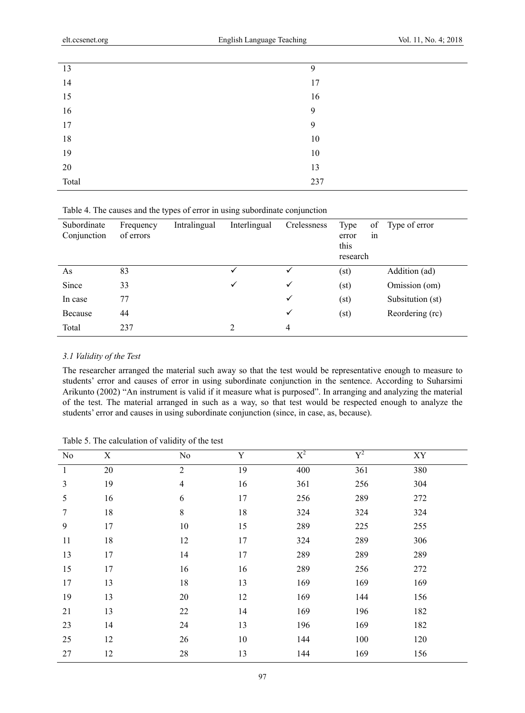| 13    | 9      |
|-------|--------|
| 14    | 17     |
| 15    | 16     |
| 16    | 9      |
| 17    | 9      |
| 18    | 10     |
| 19    | $10\,$ |
| 20    | 13     |
| Total | 237    |
|       |        |

Table 4. The causes and the types of error in using subordinate conjunction

| Subordinate<br>Conjunction | Frequency<br>of errors | Intralingual | Interlingual | Crelessness  | Type<br>error<br>this<br>research | of<br>in | Type of error    |
|----------------------------|------------------------|--------------|--------------|--------------|-----------------------------------|----------|------------------|
| As                         | 83                     |              |              |              | (st)                              |          | Addition (ad)    |
| Since                      | 33                     |              | $\checkmark$ | $\checkmark$ | (st)                              |          | Omission (om)    |
| In case                    | 77                     |              |              | $\checkmark$ | (st)                              |          | Subsitution (st) |
| Because                    | 44                     |              |              | $\checkmark$ | (st)                              |          | Reordering (rc)  |
| Total                      | 237                    |              | 2            | 4            |                                   |          |                  |

## *3.1 Validity of the Test*

The researcher arranged the material such away so that the test would be representative enough to measure to students' error and causes of error in using subordinate conjunction in the sentence. According to Suharsimi Arikunto (2002) "An instrument is valid if it measure what is purposed". In arranging and analyzing the material of the test. The material arranged in such as a way, so that test would be respected enough to analyze the students' error and causes in using subordinate conjunction (since, in case, as, because).

| Table 5. The calculation of validity of the test |  |  |  |  |  |
|--------------------------------------------------|--|--|--|--|--|
|--------------------------------------------------|--|--|--|--|--|

| No           | $\mathbf X$ | No             | $\mathbf Y$ | $X^2$ | ${\rm Y}^2$ | ${\it XY}$ |
|--------------|-------------|----------------|-------------|-------|-------------|------------|
| $\mathbf{1}$ | $20\,$      | $\sqrt{2}$     | 19          | 400   | 361         | 380        |
| 3            | 19          | $\overline{4}$ | 16          | 361   | 256         | 304        |
| 5            | 16          | 6              | 17          | 256   | 289         | 272        |
| 7            | $18\,$      | $\,$ 8 $\,$    | $18\,$      | 324   | 324         | 324        |
| 9            | 17          | $10\,$         | 15          | 289   | 225         | 255        |
| 11           | 18          | 12             | 17          | 324   | 289         | 306        |
| 13           | 17          | 14             | 17          | 289   | 289         | 289        |
| 15           | 17          | 16             | 16          | 289   | 256         | 272        |
| 17           | 13          | 18             | 13          | 169   | 169         | 169        |
| 19           | 13          | 20             | 12          | 169   | 144         | 156        |
| 21           | 13          | $22\,$         | 14          | 169   | 196         | 182        |
| 23           | 14          | 24             | 13          | 196   | 169         | 182        |
| 25           | 12          | 26             | $10\,$      | 144   | 100         | 120        |
| 27           | 12          | 28             | 13          | 144   | 169         | 156        |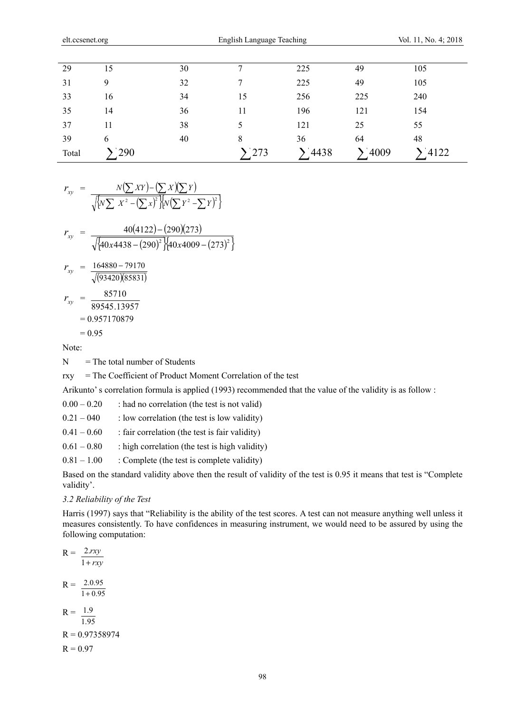| 29    | 15  | 30 | $\mathbf{r}$ | 225         | 49    | 105  |
|-------|-----|----|--------------|-------------|-------|------|
| 31    | 9   | 32 |              | 225         | 49    | 105  |
| 33    | 16  | 34 | 15           | 256         | 225   | 240  |
| 35    | 14  | 36 | 11           | 196         | 121   | 154  |
| 37    | 11  | 38 |              | 121         | 25    | 55   |
| 39    | 6   | 40 | 8            | 36          | 64    | 48   |
| Total | 290 |    | 273          | $\sum$ 4438 | '4009 | 4122 |

$$
r_{xy} = \frac{N(\sum XY) - (\sum X)(\sum Y)}{\sqrt{\left\{N\sum X^2 - (\sum x)^2\right\} \left\{N(\sum Y^2 - \sum Y)^2\right\}}}
$$

$$
r_{xy} = \frac{40(4122) - (290)(273)}{\sqrt{\{40x4438 - (290)^2\}(40x4009 - (273)^2\}}
$$
  
\n
$$
r_{xy} = \frac{164880 - 79170}{\sqrt{(93420)(85831)}}
$$
  
\n
$$
r_{xy} = \frac{85710}{89545.13957}
$$
  
\n= 0.957170879  
\n= 0.95

Note:

 $N =$ The total number of Students

rxy = The Coefficient of Product Moment Correlation of the test

Arikunto' s correlation formula is applied (1993) recommended that the value of the validity is as follow :

 $0.00 - 0.20$  : had no correlation (the test is not valid)

 $0.21 - 040$  : low correlation (the test is low validity)

- $0.41 0.60$  : fair correlation (the test is fair validity)
- $0.61 0.80$  : high correlation (the test is high validity)

 $0.81 - 1.00$  : Complete (the test is complete validity)

Based on the standard validity above then the result of validity of the test is 0.95 it means that test is "Complete validity'.

#### *3.2 Reliability of the Test*

Harris (1997) says that "Reliability is the ability of the test scores. A test can not measure anything well unless it measures consistently. To have confidences in measuring instrument, we would need to be assured by using the following computation:

$$
R = \frac{2.rxy}{1 + rxy}
$$
  
\n
$$
R = \frac{2.0.95}{1 + 0.95}
$$
  
\n
$$
R = \frac{1.9}{1.95}
$$
  
\n
$$
R = 0.97358974
$$
  
\n
$$
R = 0.97
$$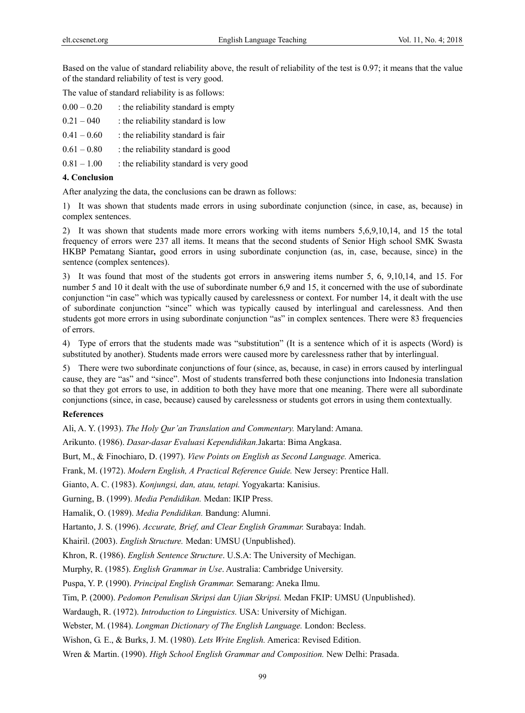Based on the value of standard reliability above, the result of reliability of the test is 0.97; it means that the value of the standard reliability of test is very good.

The value of standard reliability is as follows:

| $0.00 - 0.20$ | : the reliability standard is empty     |
|---------------|-----------------------------------------|
| $0.21 - 040$  | : the reliability standard is low       |
| $0.41 - 0.60$ | : the reliability standard is fair      |
| $0.61 - 0.80$ | : the reliability standard is good      |
| $0.81 - 1.00$ | : the reliability standard is very good |
|               |                                         |

#### **4. Conclusion**

After analyzing the data, the conclusions can be drawn as follows:

1) It was shown that students made errors in using subordinate conjunction (since, in case, as, because) in complex sentences.

2) It was shown that students made more errors working with items numbers 5,6,9,10,14, and 15 the total frequency of errors were 237 all items. It means that the second students of Senior High school SMK Swasta HKBP Pematang Siantar**,** good errors in using subordinate conjunction (as, in, case, because, since) in the sentence (complex sentences).

3) It was found that most of the students got errors in answering items number 5, 6, 9,10,14, and 15. For number 5 and 10 it dealt with the use of subordinate number 6,9 and 15, it concerned with the use of subordinate conjunction "in case" which was typically caused by carelessness or context. For number 14, it dealt with the use of subordinate conjunction "since" which was typically caused by interlingual and carelessness. And then students got more errors in using subordinate conjunction "as" in complex sentences. There were 83 frequencies of errors.

4) Type of errors that the students made was "substitution" (It is a sentence which of it is aspects (Word) is substituted by another). Students made errors were caused more by carelessness rather that by interlingual.

5) There were two subordinate conjunctions of four (since, as, because, in case) in errors caused by interlingual cause, they are "as" and "since". Most of students transferred both these conjunctions into Indonesia translation so that they got errors to use, in addition to both they have more that one meaning. There were all subordinate conjunctions (since, in case, because) caused by carelessness or students got errors in using them contextually.

#### **References**

Ali, A. Y. (1993). *The Holy Qur'an Translation and Commentary.* Maryland: Amana.

Arikunto. (1986). *Dasar-dasar Evaluasi Kependidikan.*Jakarta: Bima Angkasa.

Burt, M., & Finochiaro, D. (1997). *View Points on English as Second Language.* America.

Frank, M. (1972). *Modern English, A Practical Reference Guide.* New Jersey: Prentice Hall.

Gianto, A. C. (1983). *Konjungsi, dan, atau, tetapi.* Yogyakarta: Kanisius.

Gurning, B. (1999). *Media Pendidikan.* Medan: IKIP Press.

Hamalik, O. (1989). *Media Pendidikan.* Bandung: Alumni.

Hartanto, J. S. (1996). *Accurate, Brief, and Clear English Grammar.* Surabaya: Indah.

Khairil. (2003). *English Structure.* Medan: UMSU (Unpublished).

Khron, R. (1986). *English Sentence Structure*. U.S.A: The University of Mechigan.

Murphy, R. (1985). *English Grammar in Use*. Australia: Cambridge University.

Puspa, Y. P. (1990). *Principal English Grammar.* Semarang: Aneka Ilmu.

Tim, P. (2000). *Pedomon Penulisan Skripsi dan Ujian Skripsi.* Medan FKIP: UMSU (Unpublished).

Wardaugh, R. (1972). *Introduction to Linguistics.* USA: University of Michigan.

Webster, M. (1984). *Longman Dictionary of The English Language.* London: Becless.

Wishon, G. E., & Burks, J. M. (1980). *Lets Write English.* America: Revised Edition.

Wren & Martin. (1990). *High School English Grammar and Composition.* New Delhi: Prasada.